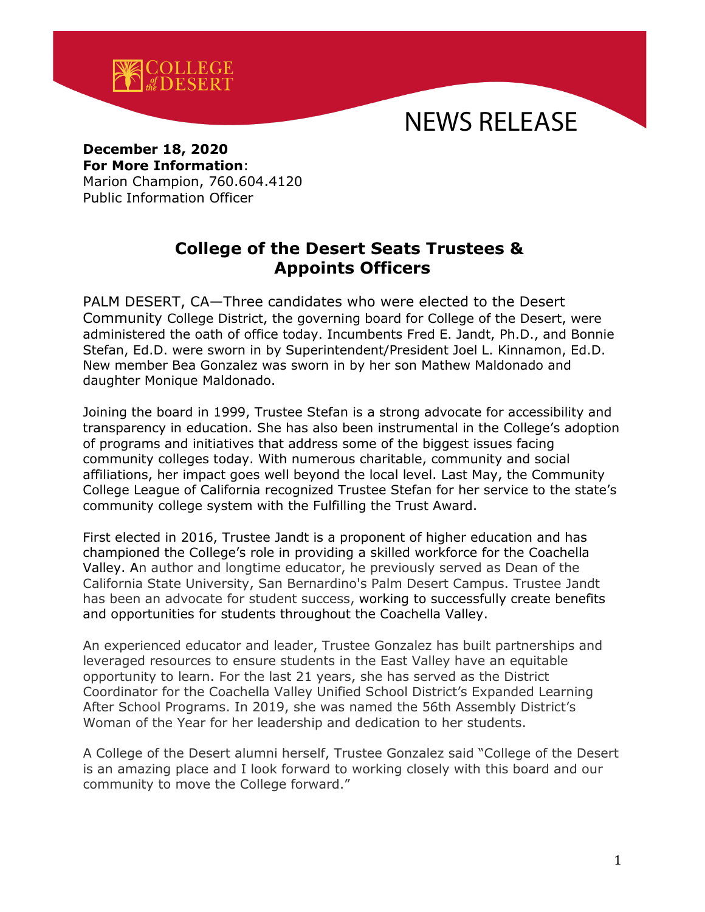

# NEWS RELEASE

### **December 18, 2020 For More Information**:

Marion Champion, 760.604.4120 Public Information Officer

## **College of the Desert Seats Trustees & Appoints Officers**

PALM DESERT, CA—Three candidates who were elected to the Desert Community College District, the governing board for College of the Desert, were administered the oath of office today. Incumbents Fred E. Jandt, Ph.D., and Bonnie Stefan, Ed.D. were sworn in by Superintendent/President Joel L. Kinnamon, Ed.D. New member Bea Gonzalez was sworn in by her son Mathew Maldonado and daughter Monique Maldonado.

Joining the board in 1999, Trustee Stefan is a strong advocate for accessibility and transparency in education. She has also been instrumental in the College's adoption of programs and initiatives that address some of the biggest issues facing community colleges today. With numerous charitable, community and social affiliations, her impact goes well beyond the local level. Last May, the Community College League of California recognized Trustee Stefan for her service to the state's community college system with the Fulfilling the Trust Award.

First elected in 2016, Trustee Jandt is a proponent of higher education and has championed the College's role in providing a skilled workforce for the Coachella Valley. An author and longtime educator, he previously served as Dean of the California State University, San Bernardino's Palm Desert Campus. Trustee Jandt has been an advocate for student success, working to successfully create benefits and opportunities for students throughout the Coachella Valley.

An experienced educator and leader, Trustee Gonzalez has built partnerships and leveraged resources to ensure students in the East Valley have an equitable opportunity to learn. For the last 21 years, she has served as the District Coordinator for the Coachella Valley Unified School District's Expanded Learning After School Programs. In 2019, she was named the 56th Assembly District's Woman of the Year for her leadership and dedication to her students.

A College of the Desert alumni herself, Trustee Gonzalez said "College of the Desert is an amazing place and I look forward to working closely with this board and our community to move the College forward."